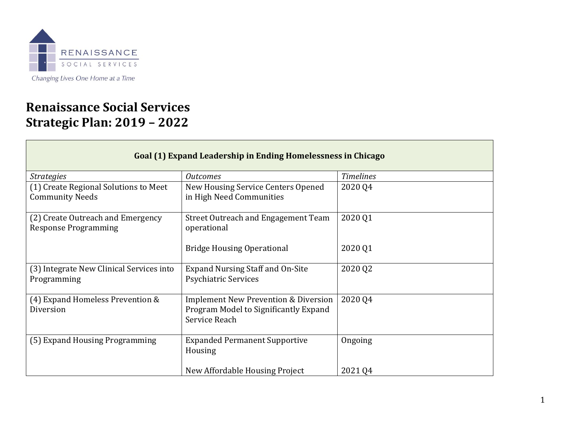

## **Renaissance Social Services Strategic Plan: 2019 – 2022**

| Goal (1) Expand Leadership in Ending Homelessness in Chicago     |                                                                                                           |                  |
|------------------------------------------------------------------|-----------------------------------------------------------------------------------------------------------|------------------|
| <i>Strategies</i>                                                | <i><u>Outcomes</u></i>                                                                                    | <b>Timelines</b> |
| (1) Create Regional Solutions to Meet<br><b>Community Needs</b>  | New Housing Service Centers Opened<br>in High Need Communities                                            | 2020 Q4          |
| (2) Create Outreach and Emergency<br><b>Response Programming</b> | Street Outreach and Engagement Team<br>operational                                                        | 2020 Q1          |
|                                                                  | <b>Bridge Housing Operational</b>                                                                         | 2020 Q1          |
| (3) Integrate New Clinical Services into<br>Programming          | <b>Expand Nursing Staff and On-Site</b><br><b>Psychiatric Services</b>                                    | 2020 Q2          |
| (4) Expand Homeless Prevention &<br>Diversion                    | <b>Implement New Prevention &amp; Diversion</b><br>Program Model to Significantly Expand<br>Service Reach | 2020 Q4          |
| (5) Expand Housing Programming                                   | <b>Expanded Permanent Supportive</b><br>Housing                                                           | Ongoing          |
|                                                                  | New Affordable Housing Project                                                                            | 2021 Q4          |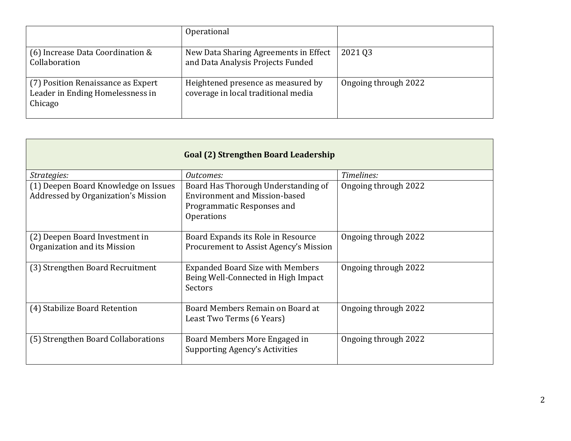|                                                                                   | Operational                                                                |                      |
|-----------------------------------------------------------------------------------|----------------------------------------------------------------------------|----------------------|
| (6) Increase Data Coordination &<br>Collaboration                                 | New Data Sharing Agreements in Effect<br>and Data Analysis Projects Funded | 2021 03              |
| (7) Position Renaissance as Expert<br>Leader in Ending Homelessness in<br>Chicago | Heightened presence as measured by<br>coverage in local traditional media  | Ongoing through 2022 |

| Goal (2) Strengthen Board Leadership                                        |                                                                                                                         |                      |
|-----------------------------------------------------------------------------|-------------------------------------------------------------------------------------------------------------------------|----------------------|
| Strategies:                                                                 | Outcomes:                                                                                                               | Timelines:           |
| (1) Deepen Board Knowledge on Issues<br>Addressed by Organization's Mission | Board Has Thorough Understanding of<br><b>Environment and Mission-based</b><br>Programmatic Responses and<br>Operations | Ongoing through 2022 |
| (2) Deepen Board Investment in<br>Organization and its Mission              | Board Expands its Role in Resource<br>Procurement to Assist Agency's Mission                                            | Ongoing through 2022 |
| (3) Strengthen Board Recruitment                                            | <b>Expanded Board Size with Members</b><br>Being Well-Connected in High Impact<br><b>Sectors</b>                        | Ongoing through 2022 |
| (4) Stabilize Board Retention                                               | Board Members Remain on Board at<br>Least Two Terms (6 Years)                                                           | Ongoing through 2022 |
| (5) Strengthen Board Collaborations                                         | Board Members More Engaged in<br><b>Supporting Agency's Activities</b>                                                  | Ongoing through 2022 |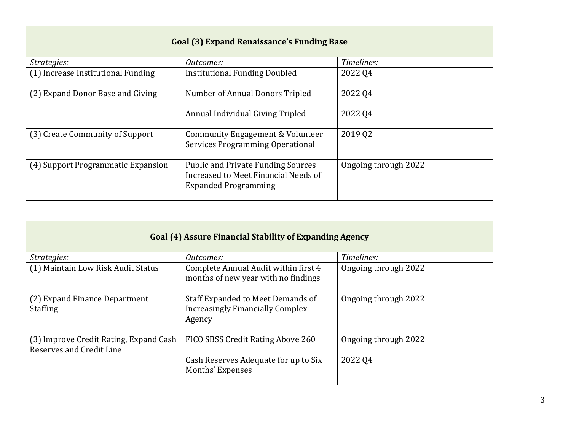| <b>Goal (3) Expand Renaissance's Funding Base</b> |                                                                                                                  |                      |
|---------------------------------------------------|------------------------------------------------------------------------------------------------------------------|----------------------|
| <i>Strategies:</i>                                | Outcomes:                                                                                                        | Timelines:           |
| (1) Increase Institutional Funding                | <b>Institutional Funding Doubled</b>                                                                             | 2022 04              |
| (2) Expand Donor Base and Giving                  | Number of Annual Donors Tripled                                                                                  | 2022 04              |
|                                                   | Annual Individual Giving Tripled                                                                                 | 2022 Q4              |
| (3) Create Community of Support                   | Community Engagement & Volunteer<br><b>Services Programming Operational</b>                                      | 2019 02              |
| (4) Support Programmatic Expansion                | <b>Public and Private Funding Sources</b><br>Increased to Meet Financial Needs of<br><b>Expanded Programming</b> | Ongoing through 2022 |

| <b>Goal (4) Assure Financial Stability of Expanding Agency</b>            |                                                                                 |                      |  |
|---------------------------------------------------------------------------|---------------------------------------------------------------------------------|----------------------|--|
| Strategies:                                                               | Outcomes:                                                                       | Timelines:           |  |
| (1) Maintain Low Risk Audit Status                                        | Complete Annual Audit within first 4<br>months of new year with no findings     | Ongoing through 2022 |  |
| (2) Expand Finance Department<br><b>Staffing</b>                          | Staff Expanded to Meet Demands of<br>Increasingly Financially Complex<br>Agency | Ongoing through 2022 |  |
| (3) Improve Credit Rating, Expand Cash<br><b>Reserves and Credit Line</b> | FICO SBSS Credit Rating Above 260                                               | Ongoing through 2022 |  |
|                                                                           | Cash Reserves Adequate for up to Six<br>Months' Expenses                        | 2022 04              |  |